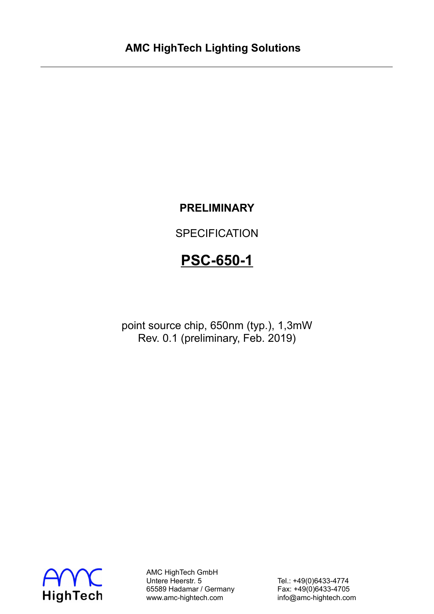# **PRELIMINARY**

**SPECIFICATION** 

# **PSC-650-1**

point source chip, 650nm (typ.), 1,3mW Rev. 0.1 (preliminary, Feb. 2019)



AMC HighTech GmbH Untere Heerstr. 5 Tel.: +49(0)6433-4774 65589 Hadamar / Germany Fax: +49(0)6433-4705 www.amc-hightech.com info@amc-hightech.com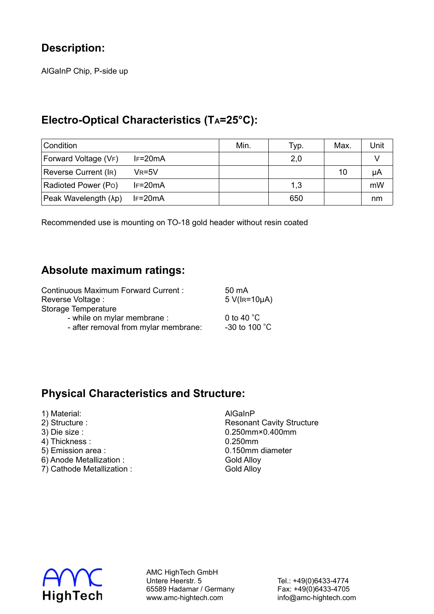## **Description:**

AlGaInP Chip, P-side up

#### **Electro-Optical Characteristics (TA=25°C):**

| Condition            |            | Min. | Typ. | Max. | Unit |
|----------------------|------------|------|------|------|------|
| Forward Voltage (VF) | $IF=20mA$  |      | 2,0  |      |      |
| Reverse Current (IR) | $V_R = 5V$ |      |      | 10   | μA   |
| Radioted Power (Po)  | $IF=20mA$  |      | 1,3  |      | mW   |
| Peak Wavelength (λp) | $IF=20mA$  |      | 650  |      | nm   |

Recommended use is mounting on TO-18 gold header without resin coated

#### **Absolute maximum ratings:**

| <b>Continuous Maximum Forward Current:</b> | 50 mA                    |
|--------------------------------------------|--------------------------|
| Reverse Voltage :                          | $5$ V( $I$ R=10 $\mu$ A) |
| Storage Temperature                        |                          |
| - while on mylar membrane :                | 0 to 40 $^{\circ}$ C     |
| - after removal from mylar membrane:       | -30 to 100 $^{\circ}$ C  |

#### **Physical Characteristics and Structure:**

- 1) Material: AlGaInP
- 
- 
- 
- $5)$  Emission area :
- 6) Anode Metallization : Gold Alloy
- 7) Cathode Metallization : Gold Alloy

2) Structure : The Cavity Structure is a structure in the Resonant Cavity Structure 3) Die size : 0.250mm×0.400mm 4) Thickness : 0.250mm<br>
5) Emission area : 0.150mm diameter



AMC HighTech GmbH Untere Heerstr. 5 Tel.: +49(0)6433-4774 65589 Hadamar / Germany Fax: +49(0)6433-4705 www.amc-hightech.com info@amc-hightech.com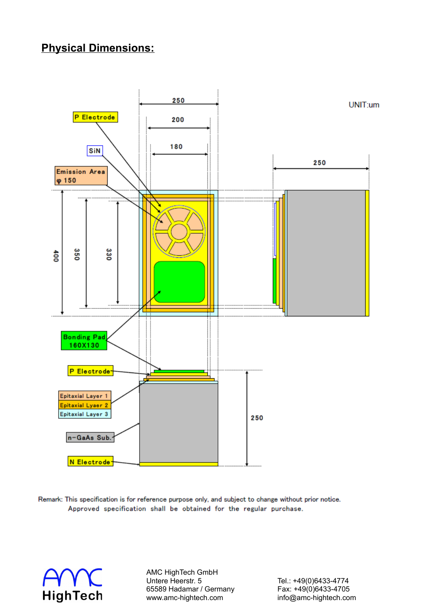### **Physical Dimensions:**



Remark: This specification is for reference purpose only, and subject to change without prior notice. Approved specification shall be obtained for the regular purchase.



AMC HighTech GmbH<br>Untere Heerstr. 5 65589 Hadamar / Germany www.amc-hightech.com info@amc-hightech.com

Tel.: +49(0)6433-4774<br>Fax: +49(0)6433-4705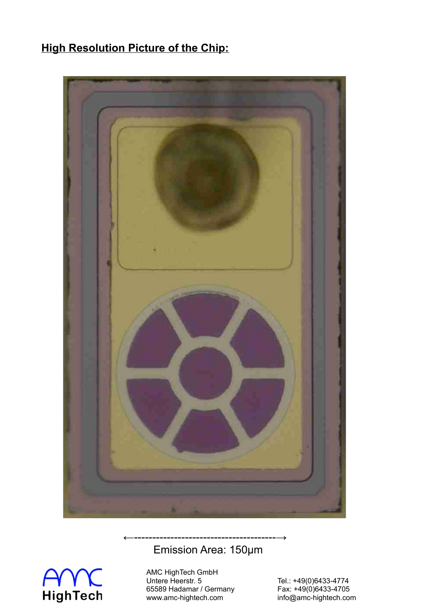# **High Resolution Picture of the Chip:**



# Emission Area: 150µm



AMC HighTech GmbH Untere Heerstr. 5 Tel.: +49(0)6433-4774 Victor Heerstr. 5<br>
65589 Hadamar / Germany Fax: +49(0)6433-4705 www.amc-hightech.com info@amc-hightech.com